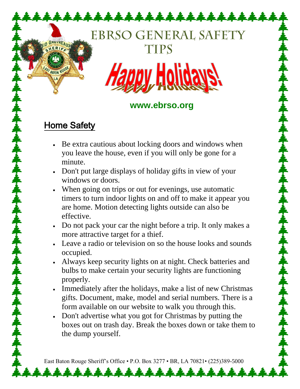# **EBRSO GENERAL SAFETY TIPS**

12222222



#### **www.ebrso.org**

### Home Safety

FAST BATON ROUGH

AUIREAUX

- Be extra cautious about locking doors and windows when you leave the house, even if you will only be gone for a minute.
- Don't put large displays of holiday gifts in view of your windows or doors.
- When going on trips or out for evenings, use automatic timers to turn indoor lights on and off to make it appear you are home. Motion detecting lights outside can also be effective.
- Do not pack your car the night before a trip. It only makes a more attractive target for a thief.
- Leave a radio or television on so the house looks and sounds occupied.
- Always keep security lights on at night. Check batteries and bulbs to make certain your security lights are functioning properly.
- Immediately after the holidays, make a list of new Christmas gifts. Document, make, model and serial numbers. There is a form available on our website to walk you through this.
- Don't advertise what you got for Christmas by putting the boxes out on trash day. Break the boxes down or take them to the dump yourself.

East Baton Rouge Sheriff's Office • P.O. Box 3277 • BR, LA 70821• (225)389-5000

\*\*\*\*\*\*\*\*\*\*\*\*\*\*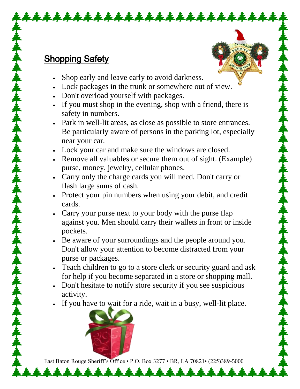#### Shopping Safety

Shop early and leave early to avoid darkness.

\*\*\*\*\*\*\*\*\*\*\*

- Lock packages in the trunk or somewhere out of view.
- Don't overload yourself with packages.
- If you must shop in the evening, shop with a friend, there is safety in numbers.
- Park in well-lit areas, as close as possible to store entrances. Be particularly aware of persons in the parking lot, especially near your car.
- Lock your car and make sure the windows are closed.
- Remove all valuables or secure them out of sight. (Example) purse, money, jewelry, cellular phones.
- Carry only the charge cards you will need. Don't carry or flash large sums of cash.
- Protect your pin numbers when using your debit, and credit cards.
- Carry your purse next to your body with the purse flap against you. Men should carry their wallets in front or inside pockets.
- Be aware of your surroundings and the people around you. Don't allow your attention to become distracted from your purse or packages.
- Teach children to go to a store clerk or security guard and ask for help if you become separated in a store or shopping mall.
- Don't hesitate to notify store security if you see suspicious activity.
- If you have to wait for a ride, wait in a busy, well-lit place.



East Baton Rouge Sheriff's Office • P.O. Box 3277 • BR, LA 70821• (225)389-5000

\*\*\*\*\*\*\*\*\*\*\*\*\*